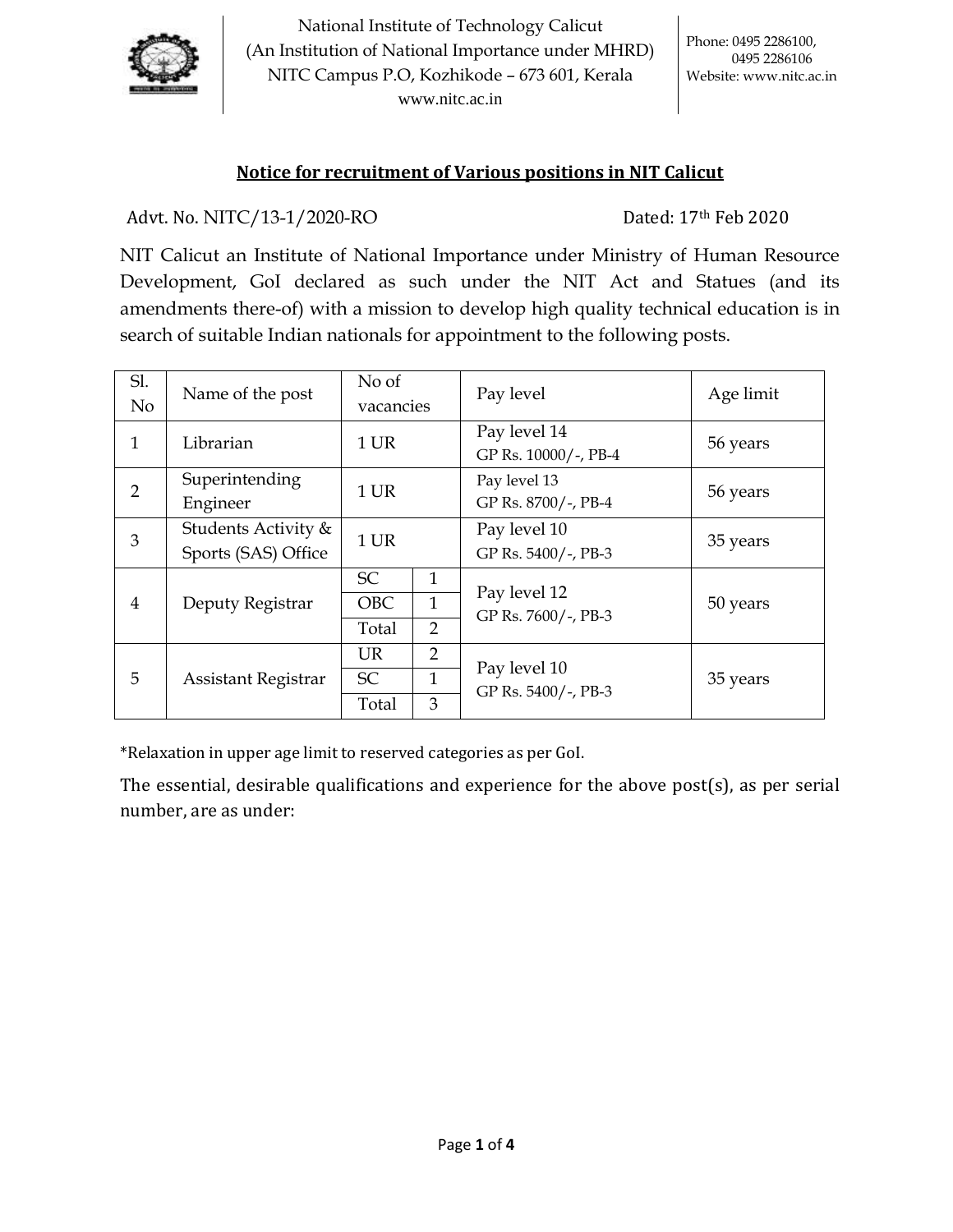

National Institute of Technology Calicut (An Institution of National Importance under MHRD) NITC Campus P.O, Kozhikode – 673 601, Kerala [www.nitc.ac.in](http://www.nitc.ac.in/)

## **Notice for recruitment of Various positions in NIT Calicut**

Advt. No. NITC/13-1/2020-RO Dated: 17th Feb 2020

NIT Calicut an Institute of National Importance under Ministry of Human Resource Development, GoI declared as such under the NIT Act and Statues (and its amendments there-of) with a mission to develop high quality technical education is in search of suitable Indian nationals for appointment to the following posts.

| Sl.<br>No      | Name of the post                           | No of<br>vacancies               |                                     | Pay level                            | Age limit |
|----------------|--------------------------------------------|----------------------------------|-------------------------------------|--------------------------------------|-----------|
| 1              | Librarian                                  | 1 UR                             |                                     | Pay level 14<br>GP Rs. 10000/-, PB-4 | 56 years  |
| 2              | Superintending<br>Engineer                 | 1 UR                             |                                     | Pay level 13<br>GP Rs. 8700/-, PB-4  | 56 years  |
| 3              | Students Activity &<br>Sports (SAS) Office | 1 UR                             |                                     | Pay level 10<br>GP Rs. 5400/-, PB-3  | 35 years  |
| $\overline{4}$ | Deputy Registrar                           | <b>SC</b><br><b>OBC</b><br>Total | 1<br>1<br>$\overline{2}$            | Pay level 12<br>GP Rs. 7600/-, PB-3  | 50 years  |
| 5              | Assistant Registrar                        | UR.<br><b>SC</b><br>Total        | $\overline{2}$<br>$\mathbf{1}$<br>3 | Pay level 10<br>GP Rs. 5400/-, PB-3  | 35 years  |

\*Relaxation in upper age limit to reserved categories as per GoI.

The essential, desirable qualifications and experience for the above post(s), as per serial number, are as under: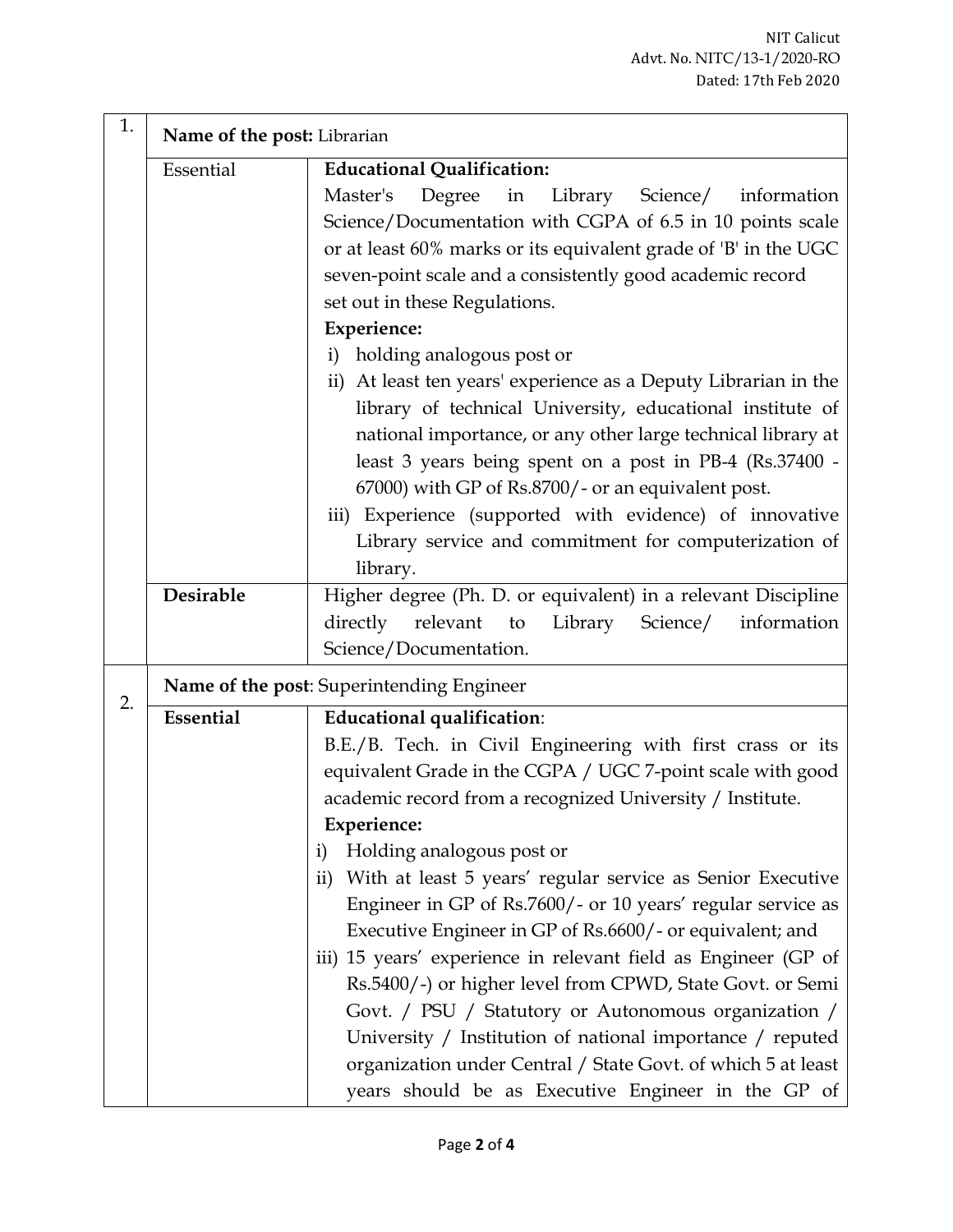| 1. | Name of the post: Librarian                    |                                                                             |  |
|----|------------------------------------------------|-----------------------------------------------------------------------------|--|
|    | Essential<br><b>Educational Qualification:</b> |                                                                             |  |
|    |                                                | Master's<br>Degree in Library Science/<br>information                       |  |
|    |                                                | Science/Documentation with CGPA of 6.5 in 10 points scale                   |  |
|    |                                                | or at least 60% marks or its equivalent grade of 'B' in the UGC             |  |
|    |                                                | seven-point scale and a consistently good academic record                   |  |
|    |                                                | set out in these Regulations.                                               |  |
|    |                                                | <b>Experience:</b>                                                          |  |
|    |                                                | i) holding analogous post or                                                |  |
|    |                                                | ii) At least ten years' experience as a Deputy Librarian in the             |  |
|    |                                                | library of technical University, educational institute of                   |  |
|    |                                                | national importance, or any other large technical library at                |  |
|    |                                                | least 3 years being spent on a post in PB-4 (Rs.37400 -                     |  |
|    |                                                | 67000) with GP of Rs.8700/- or an equivalent post.                          |  |
|    |                                                | iii) Experience (supported with evidence) of innovative                     |  |
|    |                                                | Library service and commitment for computerization of                       |  |
|    |                                                | library.                                                                    |  |
|    | Desirable                                      | Higher degree (Ph. D. or equivalent) in a relevant Discipline               |  |
|    |                                                | directly<br>relevant<br>Library<br>Science/<br>to<br>information            |  |
|    |                                                | Science/Documentation.                                                      |  |
|    | Name of the post: Superintending Engineer      |                                                                             |  |
| 2. | Essential                                      | <b>Educational qualification:</b>                                           |  |
|    |                                                | B.E./B. Tech. in Civil Engineering with first crass or its                  |  |
|    |                                                | equivalent Grade in the CGPA / UGC 7-point scale with good                  |  |
|    |                                                | academic record from a recognized University / Institute.                   |  |
|    |                                                | <b>Experience:</b>                                                          |  |
|    |                                                | Holding analogous post or<br>$\mathbf{i}$                                   |  |
|    |                                                | With at least 5 years' regular service as Senior Executive<br>$\mathbf{ii}$ |  |
|    |                                                | Engineer in GP of Rs.7600/- or 10 years' regular service as                 |  |
|    |                                                | Executive Engineer in GP of Rs.6600/- or equivalent; and                    |  |
|    |                                                | iii) 15 years' experience in relevant field as Engineer (GP of              |  |
|    |                                                | Rs.5400/-) or higher level from CPWD, State Govt. or Semi                   |  |
|    |                                                | Govt. / PSU / Statutory or Autonomous organization /                        |  |
|    |                                                | University / Institution of national importance / reputed                   |  |
|    |                                                | organization under Central / State Govt. of which 5 at least                |  |
|    |                                                | years should be as Executive Engineer in the GP of                          |  |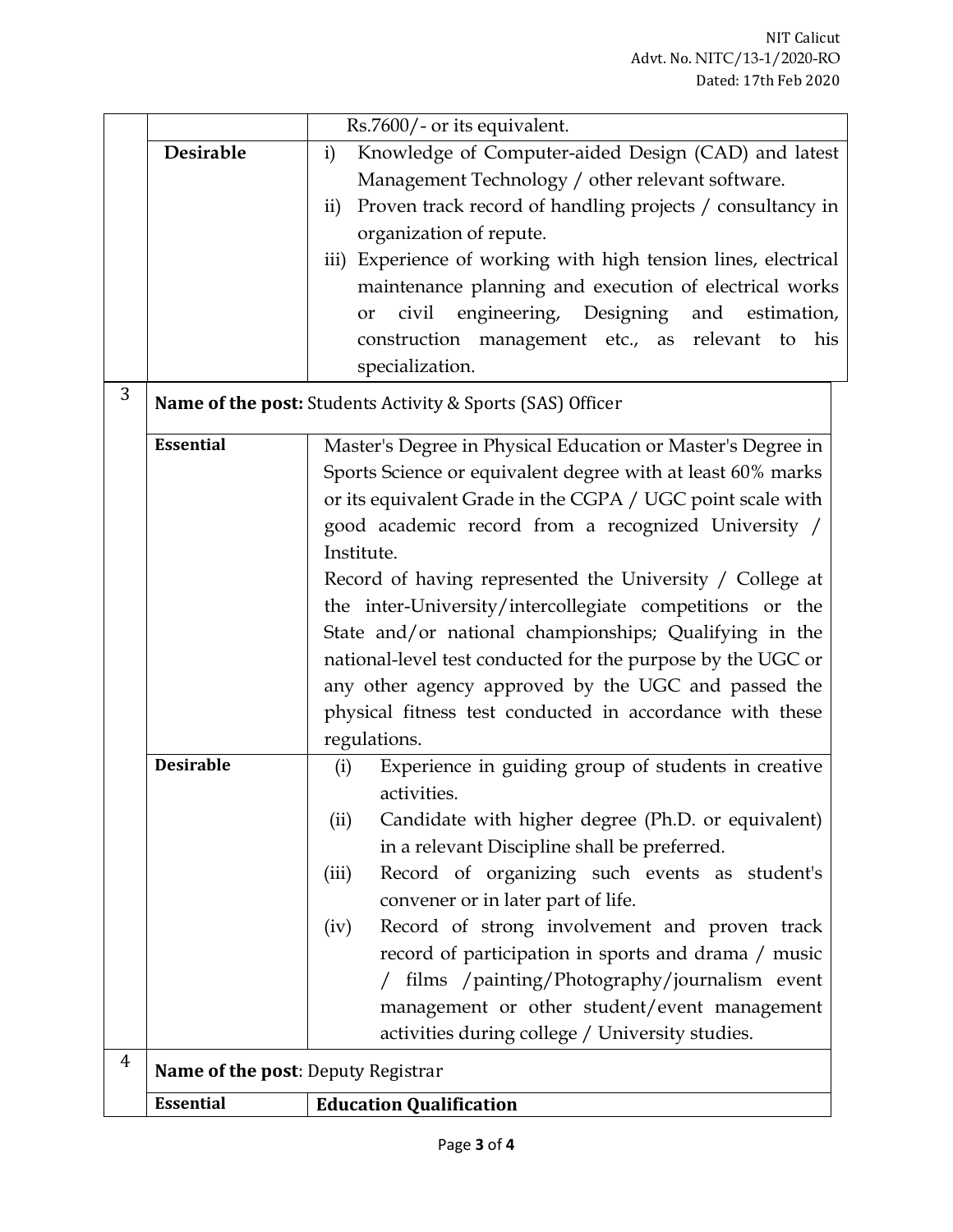|   |                                    | Rs.7600/- or its equivalent.                                               |
|---|------------------------------------|----------------------------------------------------------------------------|
|   | Desirable                          | Knowledge of Computer-aided Design (CAD) and latest<br>$\mathbf{i}$        |
|   |                                    | Management Technology / other relevant software.                           |
|   |                                    | Proven track record of handling projects / consultancy in<br>$\mathbf{ii}$ |
|   |                                    | organization of repute.                                                    |
|   |                                    | iii) Experience of working with high tension lines, electrical             |
|   |                                    | maintenance planning and execution of electrical works                     |
|   |                                    | engineering, Designing and estimation,<br>civil<br>or                      |
|   |                                    | construction management etc., as relevant to<br>his                        |
|   |                                    | specialization.                                                            |
| 3 |                                    | Name of the post: Students Activity & Sports (SAS) Officer                 |
|   | <b>Essential</b>                   | Master's Degree in Physical Education or Master's Degree in                |
|   |                                    | Sports Science or equivalent degree with at least 60% marks                |
|   |                                    | or its equivalent Grade in the CGPA / UGC point scale with                 |
|   |                                    | good academic record from a recognized University /                        |
|   |                                    | Institute.                                                                 |
|   |                                    | Record of having represented the University / College at                   |
|   |                                    | the inter-University/intercollegiate competitions or the                   |
|   |                                    | State and/or national championships; Qualifying in the                     |
|   |                                    | national-level test conducted for the purpose by the UGC or                |
|   |                                    | any other agency approved by the UGC and passed the                        |
|   |                                    | physical fitness test conducted in accordance with these                   |
|   |                                    | regulations.                                                               |
|   | <b>Desirable</b>                   | Experience in guiding group of students in creative<br>(i)                 |
|   |                                    | activities.                                                                |
|   |                                    | Candidate with higher degree (Ph.D. or equivalent)<br>(ii)                 |
|   |                                    | in a relevant Discipline shall be preferred.                               |
|   |                                    | Record of organizing such events as student's<br>(iii)                     |
|   |                                    | convener or in later part of life.                                         |
|   |                                    | Record of strong involvement and proven track<br>(iv)                      |
|   |                                    | record of participation in sports and drama / music                        |
|   |                                    | films /painting/Photography/journalism event                               |
|   |                                    | management or other student/event management                               |
|   |                                    | activities during college / University studies.                            |
| 4 | Name of the post: Deputy Registrar |                                                                            |
|   | <b>Essential</b>                   | <b>Education Qualification</b>                                             |